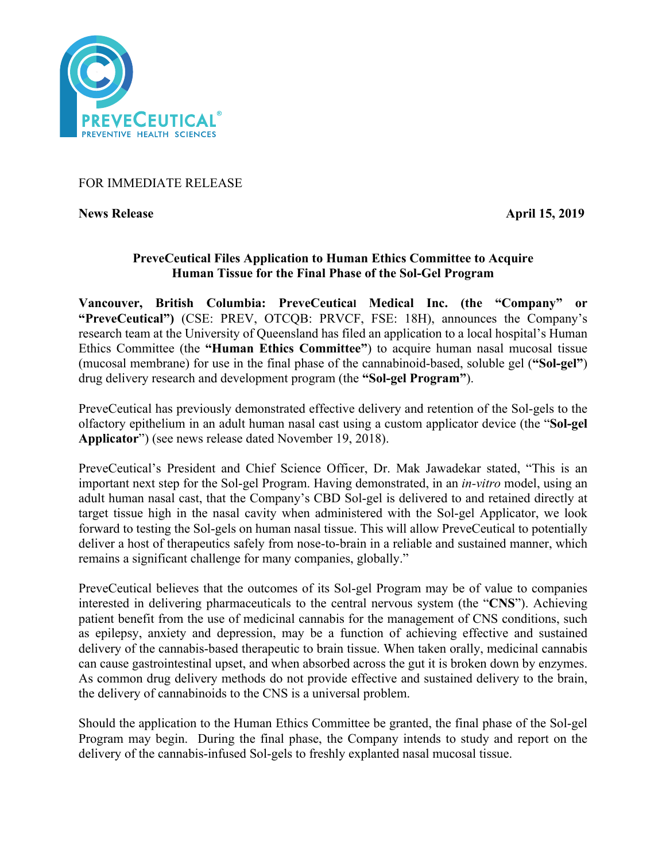

# FOR IMMEDIATE RELEASE

**News Release** April 15, 2019

# **PreveCeutical Files Application to Human Ethics Committee to Acquire Human Tissue for the Final Phase of the Sol-Gel Program**

**Vancouver, British Columbia: PreveCeutical Medical Inc. (the "Company" or "PreveCeutical")** (CSE: PREV, OTCQB: PRVCF, FSE: 18H), announces the Company's research team at the University of Queensland has filed an application to a local hospital's Human Ethics Committee (the **"Human Ethics Committee"**) to acquire human nasal mucosal tissue (mucosal membrane) for use in the final phase of the cannabinoid-based, soluble gel (**"Sol-gel"**) drug delivery research and development program (the **"Sol-gel Program"**).

PreveCeutical has previously demonstrated effective delivery and retention of the Sol-gels to the olfactory epithelium in an adult human nasal cast using a custom applicator device (the "**Sol-gel Applicator**") (see news release dated November 19, 2018).

PreveCeutical's President and Chief Science Officer, Dr. Mak Jawadekar stated, "This is an important next step for the Sol-gel Program. Having demonstrated, in an *in-vitro* model, using an adult human nasal cast, that the Company's CBD Sol-gel is delivered to and retained directly at target tissue high in the nasal cavity when administered with the Sol-gel Applicator, we look forward to testing the Sol-gels on human nasal tissue. This will allow PreveCeutical to potentially deliver a host of therapeutics safely from nose-to-brain in a reliable and sustained manner, which remains a significant challenge for many companies, globally."

PreveCeutical believes that the outcomes of its Sol-gel Program may be of value to companies interested in delivering pharmaceuticals to the central nervous system (the "**CNS**"). Achieving patient benefit from the use of medicinal cannabis for the management of CNS conditions, such as epilepsy, anxiety and depression, may be a function of achieving effective and sustained delivery of the cannabis-based therapeutic to brain tissue. When taken orally, medicinal cannabis can cause gastrointestinal upset, and when absorbed across the gut it is broken down by enzymes. As common drug delivery methods do not provide effective and sustained delivery to the brain, the delivery of cannabinoids to the CNS is a universal problem.

Should the application to the Human Ethics Committee be granted, the final phase of the Sol-gel Program may begin. During the final phase, the Company intends to study and report on the delivery of the cannabis-infused Sol-gels to freshly explanted nasal mucosal tissue.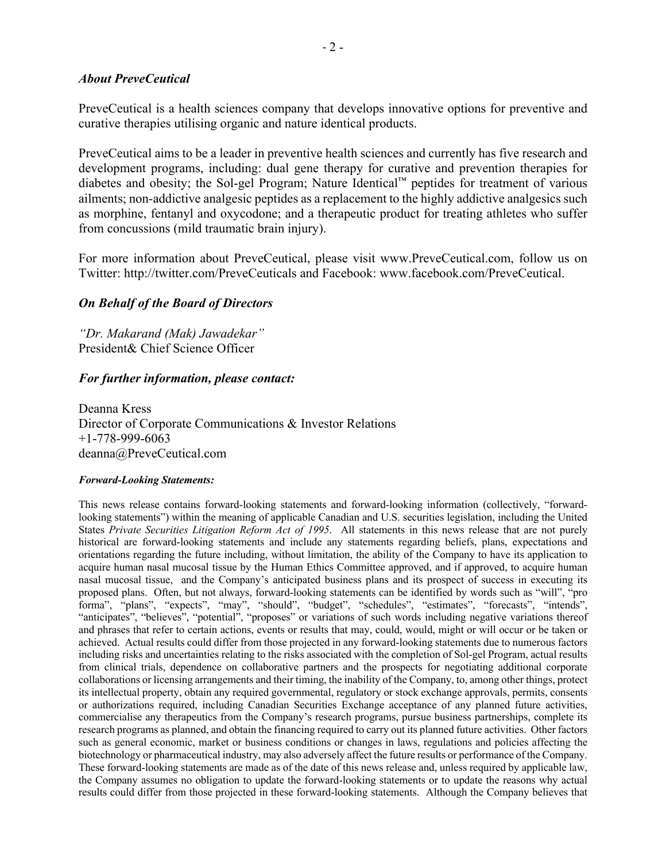## *About PreveCeutical*

PreveCeutical is a health sciences company that develops innovative options for preventive and curative therapies utilising organic and nature identical products.

PreveCeutical aims to be a leader in preventive health sciences and currently has five research and development programs, including: dual gene therapy for curative and prevention therapies for diabetes and obesity; the Sol-gel Program; Nature Identical™ peptides for treatment of various ailments; non-addictive analgesic peptides as a replacement to the highly addictive analgesics such as morphine, fentanyl and oxycodone; and a therapeutic product for treating athletes who suffer from concussions (mild traumatic brain injury).

For more information about PreveCeutical, please visit www.PreveCeutical.com, follow us on Twitter: http://twitter.com/PreveCeuticals and Facebook: www.facebook.com/PreveCeutical.

## *On Behalf of the Board of Directors*

*"Dr. Makarand (Mak) Jawadekar"* President& Chief Science Officer

## *For further information, please contact:*

Deanna Kress Director of Corporate Communications & Investor Relations +1-778-999-6063 deanna@PreveCeutical.com

#### *Forward-Looking Statements:*

This news release contains forward-looking statements and forward-looking information (collectively, "forwardlooking statements") within the meaning of applicable Canadian and U.S. securities legislation, including the United States *Private Securities Litigation Reform Act of 1995*. All statements in this news release that are not purely historical are forward-looking statements and include any statements regarding beliefs, plans, expectations and orientations regarding the future including, without limitation, the ability of the Company to have its application to acquire human nasal mucosal tissue by the Human Ethics Committee approved, and if approved, to acquire human nasal mucosal tissue, and the Company's anticipated business plans and its prospect of success in executing its proposed plans. Often, but not always, forward-looking statements can be identified by words such as "will", "pro forma", "plans", "expects", "may", "should", "budget", "schedules", "estimates", "forecasts", "intends", "anticipates", "believes", "potential", "proposes" or variations of such words including negative variations thereof and phrases that refer to certain actions, events or results that may, could, would, might or will occur or be taken or achieved. Actual results could differ from those projected in any forward-looking statements due to numerous factors including risks and uncertainties relating to the risks associated with the completion of Sol-gel Program, actual results from clinical trials, dependence on collaborative partners and the prospects for negotiating additional corporate collaborations or licensing arrangements and their timing, the inability of the Company, to, among other things, protect its intellectual property, obtain any required governmental, regulatory or stock exchange approvals, permits, consents or authorizations required, including Canadian Securities Exchange acceptance of any planned future activities, commercialise any therapeutics from the Company's research programs, pursue business partnerships, complete its research programs as planned, and obtain the financing required to carry out its planned future activities. Other factors such as general economic, market or business conditions or changes in laws, regulations and policies affecting the biotechnology or pharmaceutical industry, may also adversely affect the future results or performance of the Company. These forward-looking statements are made as of the date of this news release and, unless required by applicable law, the Company assumes no obligation to update the forward-looking statements or to update the reasons why actual results could differ from those projected in these forward-looking statements. Although the Company believes that